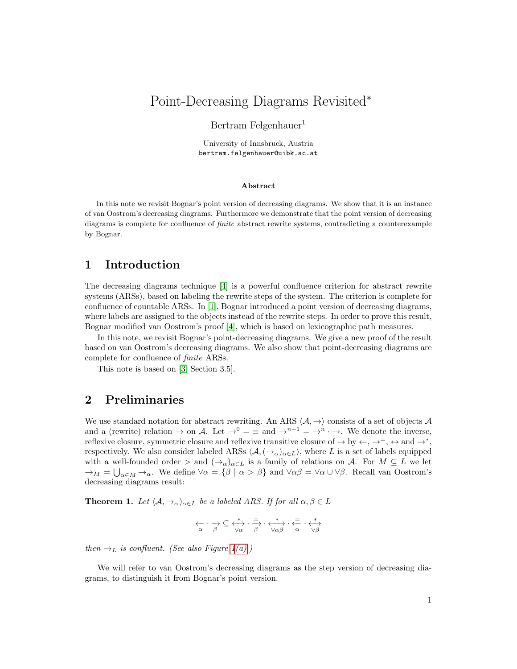# Point-Decreasing Diagrams Revisited<sup>∗</sup>

#### Bertram Felgenhauer<sup>1</sup>

University of Innsbruck, Austria bertram.felgenhauer@uibk.ac.at

#### Abstract

In this note we revisit Bognar's point version of decreasing diagrams. We show that it is an instance of van Oostrom's decreasing diagrams. Furthermore we demonstrate that the point version of decreasing diagrams is complete for confluence of finite abstract rewrite systems, contradicting a counterexample by Bognar.

# 1 Introduction

The decreasing diagrams technique [\[4\]](#page-4-0) is a powerful confluence criterion for abstract rewrite systems (ARSs), based on labeling the rewrite steps of the system. The criterion is complete for confluence of countable ARSs. In [\[1\]](#page-4-1), Bognar introduced a point version of decreasing diagrams, where labels are assigned to the objects instead of the rewrite steps. In order to prove this result, Bognar modified van Oostrom's proof [\[4\]](#page-4-0), which is based on lexicographic path measures.

In this note, we revisit Bognar's point-decreasing diagrams. We give a new proof of the result based on van Oostrom's decreasing diagrams. We also show that point-decreasing diagrams are complete for confluence of finite ARSs.

This note is based on [\[3,](#page-4-2) Section 3.5].

### 2 Preliminaries

We use standard notation for abstract rewriting. An ARS  $\langle A, \rightarrow \rangle$  consists of a set of objects A and a (rewrite) relation  $\rightarrow$  on A. Let  $\rightarrow^0 = \equiv$  and  $\rightarrow^{n+1} = \rightarrow^n \rightarrow$ . We denote the inverse, reflexive closure, symmetric closure and reflexive transitive closure of  $\rightarrow$  by  $\leftarrow, \rightarrow^= , \leftrightarrow$  and  $\rightarrow^* ,$ respectively. We also consider labeled ARSs  $\langle A, (\rightarrow_{\alpha})_{\alpha \in L} \rangle$ , where L is a set of labels equipped with a well-founded order > and  $(\rightarrow_{\alpha})_{\alpha \in L}$  is a family of relations on A. For  $M \subseteq L$  we let  $\rightarrow_M = \bigcup_{\alpha \in M} \rightarrow_\alpha$ . We define  $\forall \alpha = \{\beta \mid \alpha > \beta\}$  and  $\forall \alpha \beta = \forall \alpha \cup \forall \beta$ . Recall van Oostrom's decreasing diagrams result:

<span id="page-0-0"></span>**Theorem 1.** Let  $\langle A, \rightarrow_{\alpha} \rangle_{\alpha \in L}$  be a labeled ARS. If for all  $\alpha, \beta \in L$ 

$$
\begin{array}{ccc}\n\leftarrow & \rightarrow & \subseteq & \stackrel{*}{\longleftrightarrow} & \stackrel{=}{\longrightarrow} & \stackrel{*}{\longleftrightarrow} & \stackrel{*}{\longleftrightarrow} & \stackrel{=}{\longleftrightarrow} & \stackrel{*}{\longleftrightarrow} \\
\downarrow\alpha & \beta & & \vee \alpha\beta & & \alpha & \vee \beta\n\end{array}
$$

then  $\rightarrow_L$  is confluent. (See also Figure [1](#page-1-0)[\(a\).](#page-1-1))

We will refer to van Oostrom's decreasing diagrams as the step version of decreasing diagrams, to distinguish it from Bognar's point version.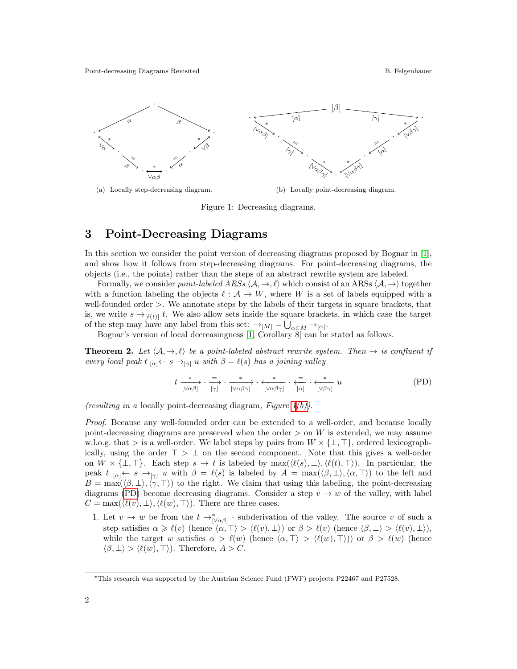<span id="page-1-1"></span><span id="page-1-0"></span>

(a) Locally step-decreasing diagram.

<span id="page-1-3"></span><span id="page-1-2"></span>(b) Locally point-decreasing diagram.

Figure 1: Decreasing diagrams.

## 3 Point-Decreasing Diagrams

In this section we consider the point version of decreasing diagrams proposed by Bognar in [\[1\]](#page-4-1), and show how it follows from step-decreasing diagrams. For point-decreasing diagrams, the objects (i.e., the points) rather than the steps of an abstract rewrite system are labeled.

Formally, we consider *point-labeled ARSs*  $\langle A, \rightarrow, \ell \rangle$  which consist of an ARSs  $\langle A, \rightarrow \rangle$  together with a function labeling the objects  $\ell : A \to W$ , where W is a set of labels equipped with a well-founded order >. We annotate steps by the labels of their targets in square brackets, that is, we write  $s \rightarrow_{\lbrack \ell(t) \rbrack} t$ . We also allow sets inside the square brackets, in which case the target of the step may have any label from this set:  $\rightarrow_{[M]} = \bigcup_{\alpha \in M} \rightarrow_{[\alpha]}$ .

Bognar's version of local decreasingness [\[1,](#page-4-1) Corollary 8] can be stated as follows.

<span id="page-1-4"></span>**Theorem 2.** Let  $\langle A, \rightarrow, \ell \rangle$  be a point-labeled abstract rewrite system. Then  $\rightarrow$  is confluent if every local peak  $t_{[\alpha]} \leftarrow s \rightarrow_{[\gamma]} u$  with  $\beta = \ell(s)$  has a joining valley

t <sup>∗</sup> −−−→ [ <sup>&</sup>lt;αβ] · <sup>=</sup>−→ [γ] · <sup>∗</sup> −−−−→ [ <sup>&</sup>lt;αβγ] · <sup>∗</sup> ←−−−− [ <sup>&</sup>lt;αβγ] · <sup>=</sup>←−− [α] · <sup>∗</sup> ←−−− [ <sup>&</sup>lt;βγ] u (PD)

(resulting in a locally point-decreasing diagram, Figure  $1(b)$ ).

Proof. Because any well-founded order can be extended to a well-order, and because locally point-decreasing diagrams are preserved when the order  $>$  on W is extended, we may assume w.l.o.g. that > is a well-order. We label steps by pairs from  $W \times {\{\perp, \top\}}$ , ordered lexicographically, using the order  $\top > \bot$  on the second component. Note that this gives a well-order on  $W \times \{\perp, \top\}.$  Each step  $s \to t$  is labeled by max $(\langle \ell(s), \bot \rangle, \langle \ell(t), \top \rangle)$ . In particular, the peak  $t_{\lbrack \alpha \rbrack \leftarrow s \rightarrow_{\lbrack \gamma \rbrack} u$  with  $\beta = \ell(s)$  is labeled by  $A = \max(\langle \beta, \bot \rangle, \langle \alpha, \top \rangle)$  to the left and  $B = \max(\langle \beta, \perp \rangle, \langle \gamma, \perp \rangle)$  to the right. We claim that using this labeling, the point-decreasing diagrams [\(PD\)](#page-1-3) become decreasing diagrams. Consider a step  $v \to w$  of the valley, with label  $C = \max(\langle \ell(v), \perp \rangle, \langle \ell(w), \perp \rangle)$ . There are three cases.

1. Let  $v \to w$  be from the  $t \to_{\lceil \sqrt{\alpha \beta} \rceil}^*$  subderivation of the valley. The source v of such a step satisfies  $\alpha \geq \ell(v)$  (hence  $\langle \alpha, \alpha \rangle > \langle \ell(v), \alpha \rangle$ ) or  $\beta > \ell(v)$  (hence  $\langle \beta, \alpha \rangle > \langle \ell(v), \alpha \rangle$ ), while the target w satisfies  $\alpha > \ell(w)$  (hence  $\langle \alpha, \top \rangle > \langle \ell(w), \top \rangle$ ) or  $\beta > \ell(w)$  (hence  $\langle \beta, \perp \rangle > \langle \ell(w), \perp \rangle$ . Therefore,  $A > C$ .

<sup>∗</sup>This research was supported by the Austrian Science Fund (FWF) projects P22467 and P27528.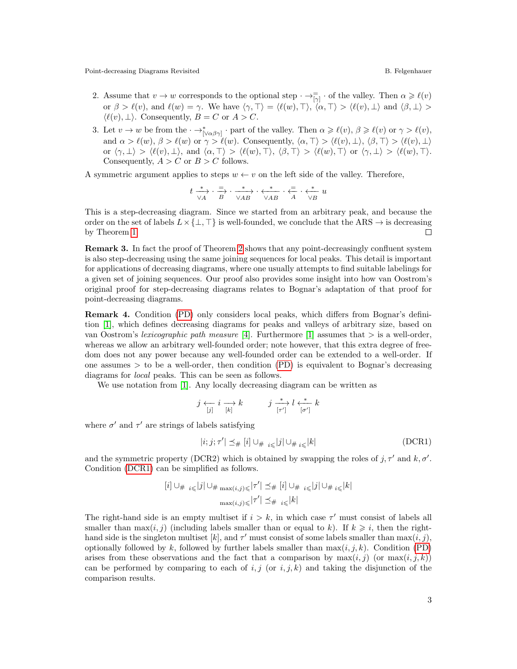Point-decreasing Diagrams Revisited **B. Felgenhauer** B. Felgenhauer

- 2. Assume that  $v \to w$  corresponds to the optional step  $\cdot \to_{\lceil \gamma \rceil}^{\rceil} \cdot$  of the valley. Then  $\alpha \geqslant \ell(v)$ or  $\beta > \ell(v)$ , and  $\ell(w) = \gamma$ . We have  $\langle \gamma, \top \rangle = \langle \ell(w), \top \rangle$ ,  $\langle \alpha, \top \rangle > \langle \ell(v), \bot \rangle$  and  $\langle \beta, \bot \rangle >$  $\langle \ell(v), \perp \rangle$ . Consequently,  $B = C$  or  $A > C$ .
- 3. Let  $v \to w$  be from the  $\cdot \to_{\lceil \sqrt{\alpha \beta} \gamma \rceil}^*$  part of the valley. Then  $\alpha \geq \ell(v)$ ,  $\beta \geq \ell(v)$  or  $\gamma > \ell(v)$ , and  $\alpha > \ell(w), \beta > \ell(w)$  or  $\gamma > \ell(w)$ . Consequently,  $\langle \alpha, \top \rangle > \langle \ell(w), \bot \rangle$ ,  $\langle \beta, \top \rangle > \langle \ell(w), \bot \rangle$ or  $\langle \gamma, \perp \rangle > \langle \ell(w), \perp \rangle$ , and  $\langle \alpha, \perp \rangle > \langle \ell(w), \perp \rangle$ ,  $\langle \beta, \perp \rangle > \langle \ell(w), \perp \rangle$  or  $\langle \gamma, \perp \rangle > \langle \ell(w), \perp \rangle$ . Consequently,  $A > C$  or  $B > C$  follows.

A symmetric argument applies to steps  $w \leftarrow v$  on the left side of the valley. Therefore,

$$
t\overset{*}{\underset{\forall A}{\longrightarrow}}\cdot \overset{=}{\underset{B}{\longrightarrow}}\cdot \overset{*}{\underset{\forall AB}{\longrightarrow}}\cdot \overset{*}{\underset{\forall AB}{\longleftarrow}}\cdot \overset{*}{\underset{A}{\longleftarrow}}\cdot \overset{*}{\underset{\forall B}{\longleftarrow}}u
$$

This is a step-decreasing diagram. Since we started from an arbitrary peak, and because the order on the set of labels  $L \times \{\perp, \top\}$  is well-founded, we conclude that the ARS  $\rightarrow$  is decreasing by Theorem [1.](#page-0-0)  $\Box$ 

Remark 3. In fact the proof of Theorem [2](#page-1-4) shows that any point-decreasingly confluent system is also step-decreasing using the same joining sequences for local peaks. This detail is important for applications of decreasing diagrams, where one usually attempts to find suitable labelings for a given set of joining sequences. Our proof also provides some insight into how van Oostrom's original proof for step-decreasing diagrams relates to Bognar's adaptation of that proof for point-decreasing diagrams.

Remark 4. Condition [\(PD\)](#page-1-3) only considers local peaks, which differs from Bognar's definition [\[1\]](#page-4-1), which defines decreasing diagrams for peaks and valleys of arbitrary size, based on van Oostrom's lexicographic path measure [\[4\]](#page-4-0). Furthermore [\[1\]](#page-4-1) assumes that  $>$  is a well-order, whereas we allow an arbitrary well-founded order; note however, that this extra degree of freedom does not any power because any well-founded order can be extended to a well-order. If one assumes  $>$  to be a well-order, then condition [\(PD\)](#page-1-3) is equivalent to Bognar's decreasing diagrams for local peaks. This can be seen as follows.

We use notation from [\[1\]](#page-4-1). Any locally decreasing diagram can be written as

$$
j \underset{[j]}{\longleftrightarrow} i \underset{[k]}{\longrightarrow} k \qquad \qquad j \underset{[\tau']}{\xrightarrow{\ast}} l \underset{[\sigma']}{\longleftarrow} k
$$

where  $\sigma'$  and  $\tau'$  are strings of labels satisfying

<span id="page-2-0"></span>
$$
|i;j;\tau'|\preceq_{\#}[i]\cup_{\#i\leqslant}|j|\cup_{\#i\leqslant}|k|\tag{DCR1}
$$

and the symmetric property (DCR2) which is obtained by swapping the roles of  $j, \tau'$  and  $k, \sigma'$ . Condition [\(DCR1\)](#page-2-0) can be simplified as follows.

$$
[i] \cup_{\#} \iota_{\leq} |j| \cup_{\# \max(i,j) \leq} |\tau'| \preceq_{\#} [i] \cup_{\#} \iota_{\leq} |j| \cup_{\#} \iota_{\leq} |k|
$$
  

$$
\max(i,j) \leq |T'| \preceq_{\#} \iota_{\leq} |k|
$$

The right-hand side is an empty multiset if  $i > k$ , in which case  $\tau'$  must consist of labels all smaller than  $\max(i, j)$  (including labels smaller than or equal to k). If  $k \geq i$ , then the righthand side is the singleton multiset [k], and  $\tau'$  must consist of some labels smaller than  $\max(i, j)$ , optionally followed by k, followed by further labels smaller than  $\max(i, j, k)$ . Condition [\(PD\)](#page-1-3) arises from these observations and the fact that a comparison by  $\max(i, j)$  (or  $\max(i, j, k)$ ) can be performed by comparing to each of i, j (or i, j, k) and taking the disjunction of the comparison results.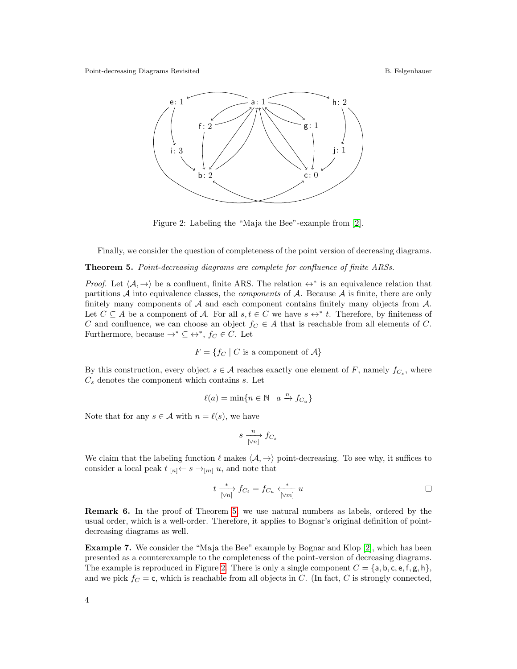<span id="page-3-1"></span>Point-decreasing Diagrams Revisited **B. Felgenhauer** B. Felgenhauer



Figure 2: Labeling the "Maja the Bee"-example from [\[2\]](#page-4-3).

Finally, we consider the question of completeness of the point version of decreasing diagrams.

<span id="page-3-0"></span>Theorem 5. Point-decreasing diagrams are complete for confluence of finite ARSs.

*Proof.* Let  $\langle A, \rightarrow \rangle$  be a confluent, finite ARS. The relation  $\leftrightarrow^*$  is an equivalence relation that partitions  $A$  into equivalence classes, the *components* of  $A$ . Because  $A$  is finite, there are only finitely many components of  $A$  and each component contains finitely many objects from  $A$ . Let  $C \subseteq A$  be a component of A. For all  $s, t \in C$  we have  $s \leftrightarrow^* t$ . Therefore, by finiteness of C and confluence, we can choose an object  $f_C \in A$  that is reachable from all elements of C. Furthermore, because  $\rightarrow^* \subseteq \leftrightarrow^*, f_C \in C$ . Let

$$
F = \{ f_C \mid C \text{ is a component of } A \}
$$

By this construction, every object  $s \in \mathcal{A}$  reaches exactly one element of F, namely  $f_{C_s}$ , where  $C_s$  denotes the component which contains  $s$ . Let

$$
\ell(a) = \min\{n \in \mathbb{N} \mid a \xrightarrow{n} f_{C_a}\}
$$

Note that for any  $s \in \mathcal{A}$  with  $n = \ell(s)$ , we have

$$
s \xrightarrow[\lfloor \forall n \rfloor]{n} f_{C_s}
$$

We claim that the labeling function  $\ell$  makes  $\langle A, \rightarrow \rangle$  point-decreasing. To see why, it suffices to consider a local peak  $t_{[n]} \leftarrow s \rightarrow_{[m]} u$ , and note that

$$
t \xrightarrow[\lfloor \sqrt{n} \rfloor]{f_{C_t}} = f_{C_u} \xleftarrow[\lfloor \sqrt{n} \rfloor]{u} u
$$

Remark 6. In the proof of Theorem [5,](#page-3-0) we use natural numbers as labels, ordered by the usual order, which is a well-order. Therefore, it applies to Bognar's original definition of pointdecreasing diagrams as well.

Example 7. We consider the "Maja the Bee" example by Bognar and Klop [\[2\]](#page-4-3), which has been presented as a counterexample to the completeness of the point-version of decreasing diagrams. The example is reproduced in Figure [2.](#page-3-1) There is only a single component  $C = \{a, b, c, e, f, g, h\}$ , and we pick  $f_C = c$ , which is reachable from all objects in C. (In fact, C is strongly connected,